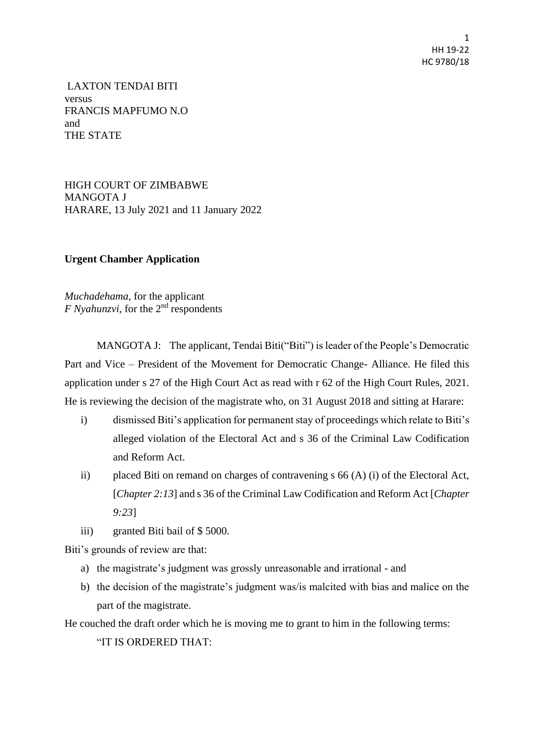1 HH 19-22 HC 9780/18

LAXTON TENDAI BITI versus FRANCIS MAPFUMO N.O and THE STATE

HIGH COURT OF ZIMBABWE MANGOTA J HARARE, 13 July 2021 and 11 January 2022

## **Urgent Chamber Application**

*Muchadehama,* for the applicant *F Nyahunzvi*, for the 2<sup>nd</sup> respondents

MANGOTA J: The applicant, Tendai Biti("Biti") is leader of the People's Democratic Part and Vice – President of the Movement for Democratic Change- Alliance. He filed this application under s 27 of the High Court Act as read with r 62 of the High Court Rules, 2021. He is reviewing the decision of the magistrate who, on 31 August 2018 and sitting at Harare:

- i) dismissed Biti's application for permanent stay of proceedings which relate to Biti's alleged violation of the Electoral Act and s 36 of the Criminal Law Codification and Reform Act.
- ii) placed Biti on remand on charges of contravening s 66 (A) (i) of the Electoral Act, [*Chapter 2:13*] and s 36 of the Criminal Law Codification and Reform Act [*Chapter 9:23*]
- iii) granted Biti bail of \$ 5000.

Biti's grounds of review are that:

- a) the magistrate's judgment was grossly unreasonable and irrational and
- b) the decision of the magistrate's judgment was/is malcited with bias and malice on the part of the magistrate.

He couched the draft order which he is moving me to grant to him in the following terms:

"IT IS ORDERED THAT: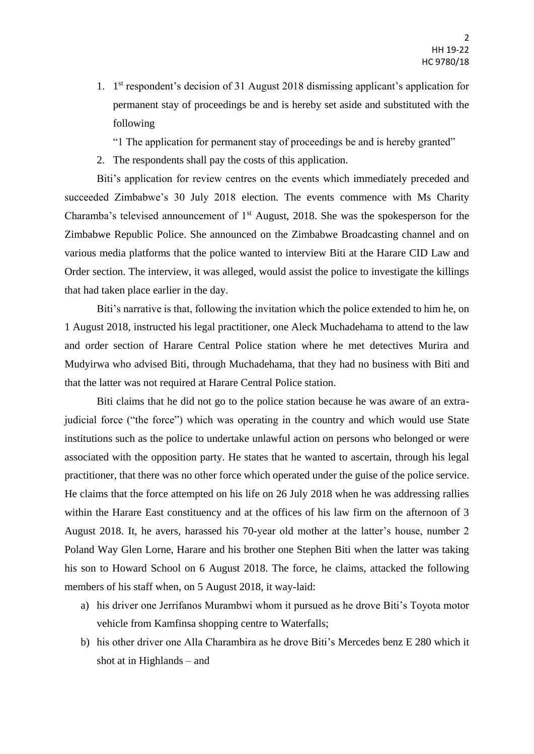1. 1 st respondent's decision of 31 August 2018 dismissing applicant's application for permanent stay of proceedings be and is hereby set aside and substituted with the following

"1 The application for permanent stay of proceedings be and is hereby granted"

2. The respondents shall pay the costs of this application.

Biti's application for review centres on the events which immediately preceded and succeeded Zimbabwe's 30 July 2018 election. The events commence with Ms Charity Charamba's televised announcement of  $1<sup>st</sup>$  August, 2018. She was the spokesperson for the Zimbabwe Republic Police. She announced on the Zimbabwe Broadcasting channel and on various media platforms that the police wanted to interview Biti at the Harare CID Law and Order section. The interview, it was alleged, would assist the police to investigate the killings that had taken place earlier in the day.

Biti's narrative is that, following the invitation which the police extended to him he, on 1 August 2018, instructed his legal practitioner, one Aleck Muchadehama to attend to the law and order section of Harare Central Police station where he met detectives Murira and Mudyirwa who advised Biti, through Muchadehama, that they had no business with Biti and that the latter was not required at Harare Central Police station.

Biti claims that he did not go to the police station because he was aware of an extrajudicial force ("the force") which was operating in the country and which would use State institutions such as the police to undertake unlawful action on persons who belonged or were associated with the opposition party. He states that he wanted to ascertain, through his legal practitioner, that there was no other force which operated under the guise of the police service. He claims that the force attempted on his life on 26 July 2018 when he was addressing rallies within the Harare East constituency and at the offices of his law firm on the afternoon of 3 August 2018. It, he avers, harassed his 70-year old mother at the latter's house, number 2 Poland Way Glen Lorne, Harare and his brother one Stephen Biti when the latter was taking his son to Howard School on 6 August 2018. The force, he claims, attacked the following members of his staff when, on 5 August 2018, it way-laid:

- a) his driver one Jerrifanos Murambwi whom it pursued as he drove Biti's Toyota motor vehicle from Kamfinsa shopping centre to Waterfalls;
- b) his other driver one Alla Charambira as he drove Biti's Mercedes benz E 280 which it shot at in Highlands – and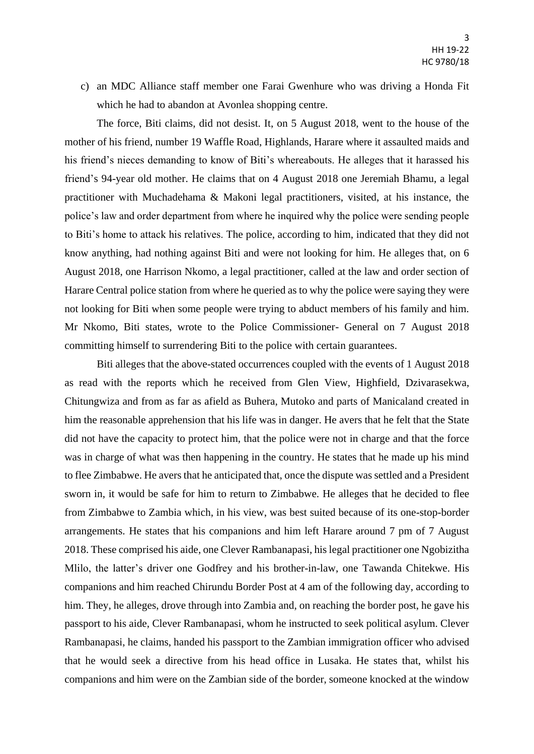c) an MDC Alliance staff member one Farai Gwenhure who was driving a Honda Fit which he had to abandon at Avonlea shopping centre.

The force, Biti claims, did not desist. It, on 5 August 2018, went to the house of the mother of his friend, number 19 Waffle Road, Highlands, Harare where it assaulted maids and his friend's nieces demanding to know of Biti's whereabouts. He alleges that it harassed his friend's 94-year old mother. He claims that on 4 August 2018 one Jeremiah Bhamu, a legal practitioner with Muchadehama & Makoni legal practitioners, visited, at his instance, the police's law and order department from where he inquired why the police were sending people to Biti's home to attack his relatives. The police, according to him, indicated that they did not know anything, had nothing against Biti and were not looking for him. He alleges that, on 6 August 2018, one Harrison Nkomo, a legal practitioner, called at the law and order section of Harare Central police station from where he queried as to why the police were saying they were not looking for Biti when some people were trying to abduct members of his family and him. Mr Nkomo, Biti states, wrote to the Police Commissioner- General on 7 August 2018 committing himself to surrendering Biti to the police with certain guarantees.

Biti alleges that the above-stated occurrences coupled with the events of 1 August 2018 as read with the reports which he received from Glen View, Highfield, Dzivarasekwa, Chitungwiza and from as far as afield as Buhera, Mutoko and parts of Manicaland created in him the reasonable apprehension that his life was in danger. He avers that he felt that the State did not have the capacity to protect him, that the police were not in charge and that the force was in charge of what was then happening in the country. He states that he made up his mind to flee Zimbabwe. He avers that he anticipated that, once the dispute was settled and a President sworn in, it would be safe for him to return to Zimbabwe. He alleges that he decided to flee from Zimbabwe to Zambia which, in his view, was best suited because of its one-stop-border arrangements. He states that his companions and him left Harare around 7 pm of 7 August 2018. These comprised his aide, one Clever Rambanapasi, his legal practitioner one Ngobizitha Mlilo, the latter's driver one Godfrey and his brother-in-law, one Tawanda Chitekwe. His companions and him reached Chirundu Border Post at 4 am of the following day, according to him. They, he alleges, drove through into Zambia and, on reaching the border post, he gave his passport to his aide, Clever Rambanapasi, whom he instructed to seek political asylum. Clever Rambanapasi, he claims, handed his passport to the Zambian immigration officer who advised that he would seek a directive from his head office in Lusaka. He states that, whilst his companions and him were on the Zambian side of the border, someone knocked at the window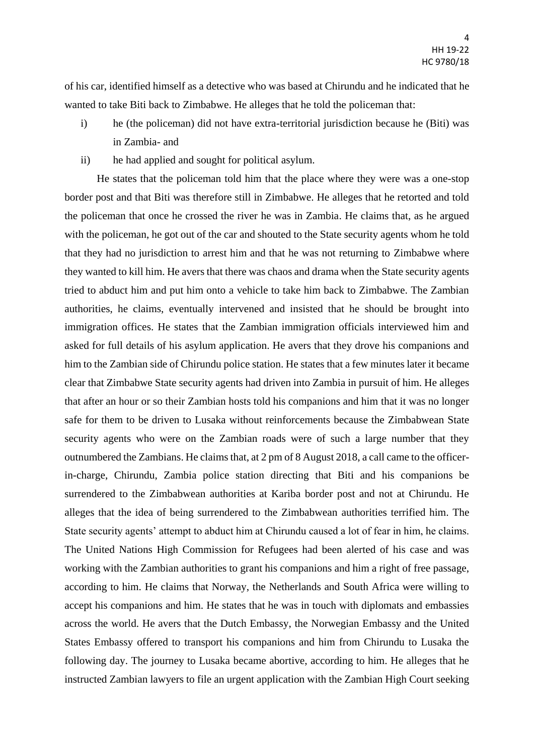of his car, identified himself as a detective who was based at Chirundu and he indicated that he wanted to take Biti back to Zimbabwe. He alleges that he told the policeman that:

- i) he (the policeman) did not have extra-territorial jurisdiction because he (Biti) was in Zambia- and
- ii) he had applied and sought for political asylum.

He states that the policeman told him that the place where they were was a one-stop border post and that Biti was therefore still in Zimbabwe. He alleges that he retorted and told the policeman that once he crossed the river he was in Zambia. He claims that, as he argued with the policeman, he got out of the car and shouted to the State security agents whom he told that they had no jurisdiction to arrest him and that he was not returning to Zimbabwe where they wanted to kill him. He avers that there was chaos and drama when the State security agents tried to abduct him and put him onto a vehicle to take him back to Zimbabwe. The Zambian authorities, he claims, eventually intervened and insisted that he should be brought into immigration offices. He states that the Zambian immigration officials interviewed him and asked for full details of his asylum application. He avers that they drove his companions and him to the Zambian side of Chirundu police station. He states that a few minutes later it became clear that Zimbabwe State security agents had driven into Zambia in pursuit of him. He alleges that after an hour or so their Zambian hosts told his companions and him that it was no longer safe for them to be driven to Lusaka without reinforcements because the Zimbabwean State security agents who were on the Zambian roads were of such a large number that they outnumbered the Zambians. He claims that, at 2 pm of 8 August 2018, a call came to the officerin-charge, Chirundu, Zambia police station directing that Biti and his companions be surrendered to the Zimbabwean authorities at Kariba border post and not at Chirundu. He alleges that the idea of being surrendered to the Zimbabwean authorities terrified him. The State security agents' attempt to abduct him at Chirundu caused a lot of fear in him, he claims. The United Nations High Commission for Refugees had been alerted of his case and was working with the Zambian authorities to grant his companions and him a right of free passage, according to him. He claims that Norway, the Netherlands and South Africa were willing to accept his companions and him. He states that he was in touch with diplomats and embassies across the world. He avers that the Dutch Embassy, the Norwegian Embassy and the United States Embassy offered to transport his companions and him from Chirundu to Lusaka the following day. The journey to Lusaka became abortive, according to him. He alleges that he instructed Zambian lawyers to file an urgent application with the Zambian High Court seeking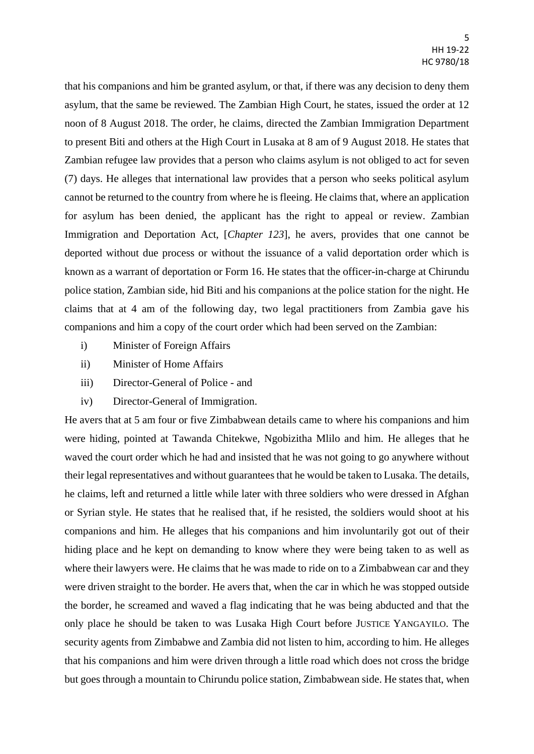that his companions and him be granted asylum, or that, if there was any decision to deny them asylum, that the same be reviewed. The Zambian High Court, he states, issued the order at 12 noon of 8 August 2018. The order, he claims, directed the Zambian Immigration Department to present Biti and others at the High Court in Lusaka at 8 am of 9 August 2018. He states that Zambian refugee law provides that a person who claims asylum is not obliged to act for seven (7) days. He alleges that international law provides that a person who seeks political asylum cannot be returned to the country from where he is fleeing. He claims that, where an application for asylum has been denied, the applicant has the right to appeal or review. Zambian Immigration and Deportation Act, [*Chapter 123*], he avers, provides that one cannot be deported without due process or without the issuance of a valid deportation order which is known as a warrant of deportation or Form 16. He states that the officer-in-charge at Chirundu police station, Zambian side, hid Biti and his companions at the police station for the night. He claims that at 4 am of the following day, two legal practitioners from Zambia gave his companions and him a copy of the court order which had been served on the Zambian:

- i) Minister of Foreign Affairs
- ii) Minister of Home Affairs
- iii) Director-General of Police and
- iv) Director-General of Immigration.

He avers that at 5 am four or five Zimbabwean details came to where his companions and him were hiding, pointed at Tawanda Chitekwe, Ngobizitha Mlilo and him. He alleges that he waved the court order which he had and insisted that he was not going to go anywhere without their legal representatives and without guarantees that he would be taken to Lusaka. The details, he claims, left and returned a little while later with three soldiers who were dressed in Afghan or Syrian style. He states that he realised that, if he resisted, the soldiers would shoot at his companions and him. He alleges that his companions and him involuntarily got out of their hiding place and he kept on demanding to know where they were being taken to as well as where their lawyers were. He claims that he was made to ride on to a Zimbabwean car and they were driven straight to the border. He avers that, when the car in which he was stopped outside the border, he screamed and waved a flag indicating that he was being abducted and that the only place he should be taken to was Lusaka High Court before JUSTICE YANGAYILO. The security agents from Zimbabwe and Zambia did not listen to him, according to him. He alleges that his companions and him were driven through a little road which does not cross the bridge but goes through a mountain to Chirundu police station, Zimbabwean side. He states that, when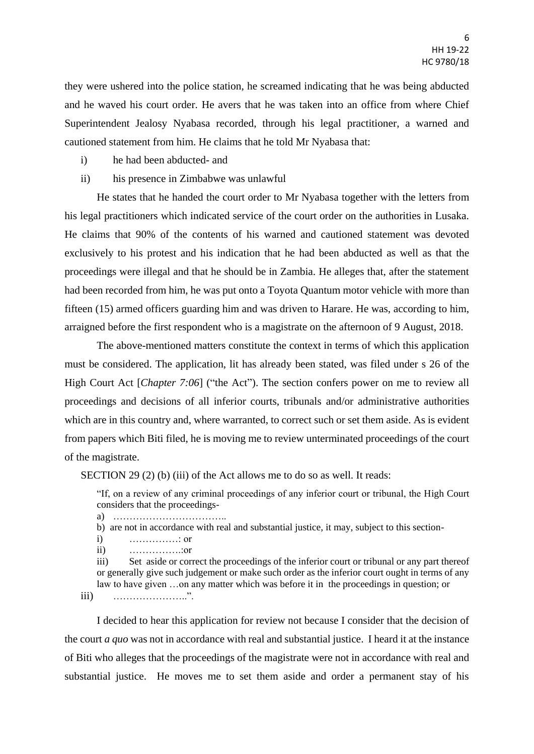they were ushered into the police station, he screamed indicating that he was being abducted and he waved his court order. He avers that he was taken into an office from where Chief Superintendent Jealosy Nyabasa recorded, through his legal practitioner, a warned and cautioned statement from him. He claims that he told Mr Nyabasa that:

- i) he had been abducted- and
- ii) his presence in Zimbabwe was unlawful

He states that he handed the court order to Mr Nyabasa together with the letters from his legal practitioners which indicated service of the court order on the authorities in Lusaka. He claims that 90% of the contents of his warned and cautioned statement was devoted exclusively to his protest and his indication that he had been abducted as well as that the proceedings were illegal and that he should be in Zambia. He alleges that, after the statement had been recorded from him, he was put onto a Toyota Quantum motor vehicle with more than fifteen (15) armed officers guarding him and was driven to Harare. He was, according to him, arraigned before the first respondent who is a magistrate on the afternoon of 9 August, 2018.

The above-mentioned matters constitute the context in terms of which this application must be considered. The application, lit has already been stated, was filed under s 26 of the High Court Act [*Chapter 7:06*] ("the Act"). The section confers power on me to review all proceedings and decisions of all inferior courts, tribunals and/or administrative authorities which are in this country and, where warranted, to correct such or set them aside. As is evident from papers which Biti filed, he is moving me to review unterminated proceedings of the court of the magistrate.

SECTION 29 (2) (b) (iii) of the Act allows me to do so as well. It reads:

"If, on a review of any criminal proceedings of any inferior court or tribunal, the High Court considers that the proceedings-

- a) ……………………………..
- b) are not in accordance with real and substantial justice, it may, subject to this section-
- i) ……………: or
- ii) …………….:or

iii) Set aside or correct the proceedings of the inferior court or tribunal or any part thereof or generally give such judgement or make such order as the inferior court ought in terms of any law to have given …on any matter which was before it in the proceedings in question; or

iii) …………………..".

I decided to hear this application for review not because I consider that the decision of the court *a quo* was not in accordance with real and substantial justice. I heard it at the instance of Biti who alleges that the proceedings of the magistrate were not in accordance with real and substantial justice. He moves me to set them aside and order a permanent stay of his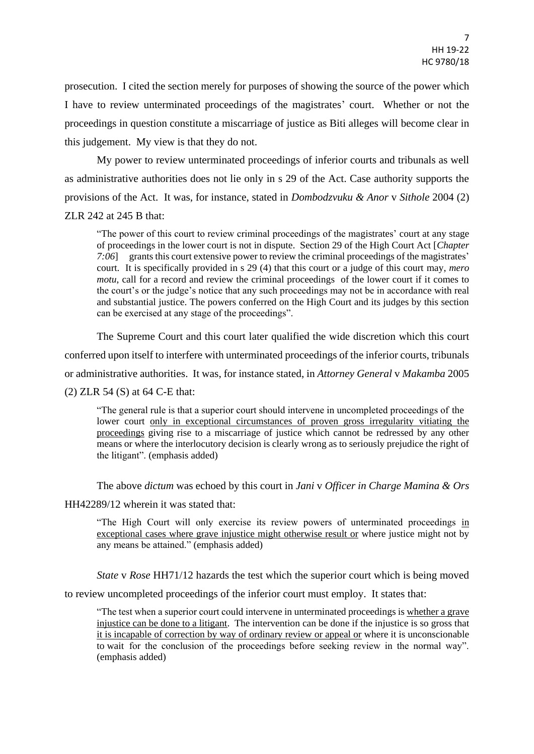prosecution. I cited the section merely for purposes of showing the source of the power which I have to review unterminated proceedings of the magistrates' court. Whether or not the proceedings in question constitute a miscarriage of justice as Biti alleges will become clear in this judgement. My view is that they do not.

My power to review unterminated proceedings of inferior courts and tribunals as well as administrative authorities does not lie only in s 29 of the Act. Case authority supports the provisions of the Act. It was, for instance, stated in *Dombodzvuku & Anor* v *Sithole* 2004 (2) ZLR 242 at 245 B that:

"The power of this court to review criminal proceedings of the magistrates' court at any stage of proceedings in the lower court is not in dispute. Section 29 of the High Court Act [*Chapter 7:06*] grants this court extensive power to review the criminal proceedings of the magistrates' court. It is specifically provided in s 29 (4) that this court or a judge of this court may, *mero motu*, call for a record and review the criminal proceedings of the lower court if it comes to the court's or the judge's notice that any such proceedings may not be in accordance with real and substantial justice. The powers conferred on the High Court and its judges by this section can be exercised at any stage of the proceedings".

The Supreme Court and this court later qualified the wide discretion which this court

conferred upon itself to interfere with unterminated proceedings of the inferior courts, tribunals

or administrative authorities. It was, for instance stated, in *Attorney General* v *Makamba* 2005

(2) ZLR 54 (S) at 64 C-E that:

"The general rule is that a superior court should intervene in uncompleted proceedings of the lower court only in exceptional circumstances of proven gross irregularity vitiating the proceedings giving rise to a miscarriage of justice which cannot be redressed by any other means or where the interlocutory decision is clearly wrong as to seriously prejudice the right of the litigant". (emphasis added)

The above *dictum* was echoed by this court in *Jani* v *Officer in Charge Mamina & Ors*

HH42289/12 wherein it was stated that:

"The High Court will only exercise its review powers of unterminated proceedings in exceptional cases where grave injustice might otherwise result or where justice might not by any means be attained." (emphasis added)

*State* v *Rose* HH71/12 hazards the test which the superior court which is being moved

to review uncompleted proceedings of the inferior court must employ. It states that:

"The test when a superior court could intervene in unterminated proceedings is whether a grave injustice can be done to a litigant. The intervention can be done if the injustice is so gross that it is incapable of correction by way of ordinary review or appeal or where it is unconscionable to wait for the conclusion of the proceedings before seeking review in the normal way". (emphasis added)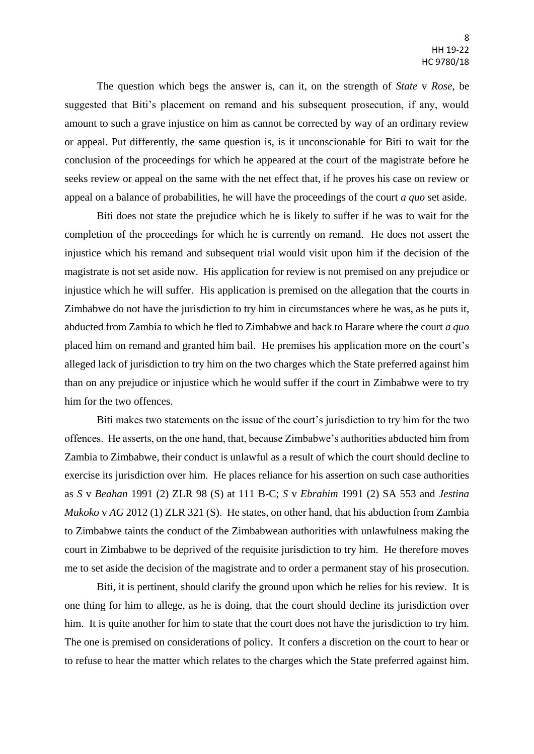The question which begs the answer is, can it, on the strength of *State* v *Rose*, be suggested that Biti's placement on remand and his subsequent prosecution, if any, would amount to such a grave injustice on him as cannot be corrected by way of an ordinary review or appeal. Put differently, the same question is, is it unconscionable for Biti to wait for the conclusion of the proceedings for which he appeared at the court of the magistrate before he seeks review or appeal on the same with the net effect that, if he proves his case on review or appeal on a balance of probabilities, he will have the proceedings of the court *a quo* set aside.

Biti does not state the prejudice which he is likely to suffer if he was to wait for the completion of the proceedings for which he is currently on remand. He does not assert the injustice which his remand and subsequent trial would visit upon him if the decision of the magistrate is not set aside now. His application for review is not premised on any prejudice or injustice which he will suffer. His application is premised on the allegation that the courts in Zimbabwe do not have the jurisdiction to try him in circumstances where he was, as he puts it, abducted from Zambia to which he fled to Zimbabwe and back to Harare where the court *a quo* placed him on remand and granted him bail. He premises his application more on the court's alleged lack of jurisdiction to try him on the two charges which the State preferred against him than on any prejudice or injustice which he would suffer if the court in Zimbabwe were to try him for the two offences.

Biti makes two statements on the issue of the court's jurisdiction to try him for the two offences. He asserts, on the one hand, that, because Zimbabwe's authorities abducted him from Zambia to Zimbabwe, their conduct is unlawful as a result of which the court should decline to exercise its jurisdiction over him. He places reliance for his assertion on such case authorities as *S* v *Beahan* 1991 (2) ZLR 98 (S) at 111 B-C; *S* v *Ebrahim* 1991 (2) SA 553 and *Jestina Mukoko* v *AG* 2012 (1) ZLR 321 (S). He states, on other hand, that his abduction from Zambia to Zimbabwe taints the conduct of the Zimbabwean authorities with unlawfulness making the court in Zimbabwe to be deprived of the requisite jurisdiction to try him. He therefore moves me to set aside the decision of the magistrate and to order a permanent stay of his prosecution.

Biti, it is pertinent, should clarify the ground upon which he relies for his review. It is one thing for him to allege, as he is doing, that the court should decline its jurisdiction over him. It is quite another for him to state that the court does not have the jurisdiction to try him. The one is premised on considerations of policy. It confers a discretion on the court to hear or to refuse to hear the matter which relates to the charges which the State preferred against him.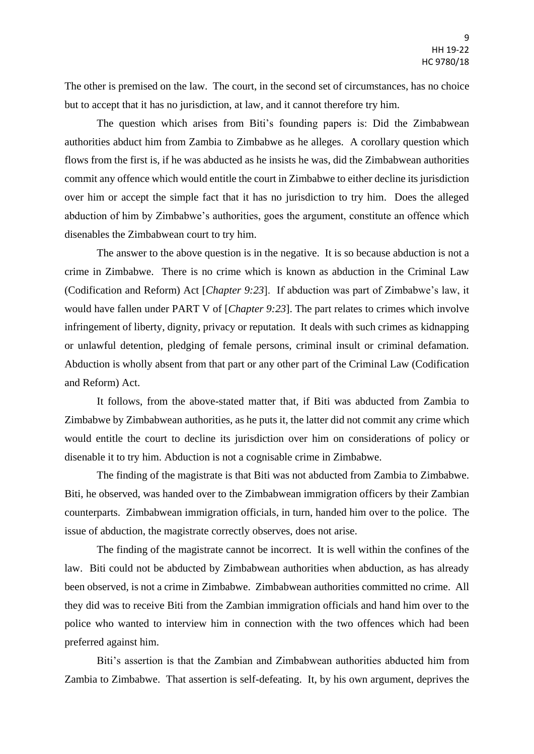The other is premised on the law. The court, in the second set of circumstances, has no choice but to accept that it has no jurisdiction, at law, and it cannot therefore try him.

The question which arises from Biti's founding papers is: Did the Zimbabwean authorities abduct him from Zambia to Zimbabwe as he alleges. A corollary question which flows from the first is, if he was abducted as he insists he was, did the Zimbabwean authorities commit any offence which would entitle the court in Zimbabwe to either decline its jurisdiction over him or accept the simple fact that it has no jurisdiction to try him. Does the alleged abduction of him by Zimbabwe's authorities, goes the argument, constitute an offence which disenables the Zimbabwean court to try him.

The answer to the above question is in the negative. It is so because abduction is not a crime in Zimbabwe. There is no crime which is known as abduction in the Criminal Law (Codification and Reform) Act [*Chapter 9:23*]. If abduction was part of Zimbabwe's law, it would have fallen under PART V of [*Chapter 9:23*]. The part relates to crimes which involve infringement of liberty, dignity, privacy or reputation. It deals with such crimes as kidnapping or unlawful detention, pledging of female persons, criminal insult or criminal defamation. Abduction is wholly absent from that part or any other part of the Criminal Law (Codification and Reform) Act.

It follows, from the above-stated matter that, if Biti was abducted from Zambia to Zimbabwe by Zimbabwean authorities, as he puts it, the latter did not commit any crime which would entitle the court to decline its jurisdiction over him on considerations of policy or disenable it to try him. Abduction is not a cognisable crime in Zimbabwe.

The finding of the magistrate is that Biti was not abducted from Zambia to Zimbabwe. Biti, he observed, was handed over to the Zimbabwean immigration officers by their Zambian counterparts. Zimbabwean immigration officials, in turn, handed him over to the police. The issue of abduction, the magistrate correctly observes, does not arise.

The finding of the magistrate cannot be incorrect. It is well within the confines of the law. Biti could not be abducted by Zimbabwean authorities when abduction, as has already been observed, is not a crime in Zimbabwe. Zimbabwean authorities committed no crime. All they did was to receive Biti from the Zambian immigration officials and hand him over to the police who wanted to interview him in connection with the two offences which had been preferred against him.

Biti's assertion is that the Zambian and Zimbabwean authorities abducted him from Zambia to Zimbabwe. That assertion is self-defeating. It, by his own argument, deprives the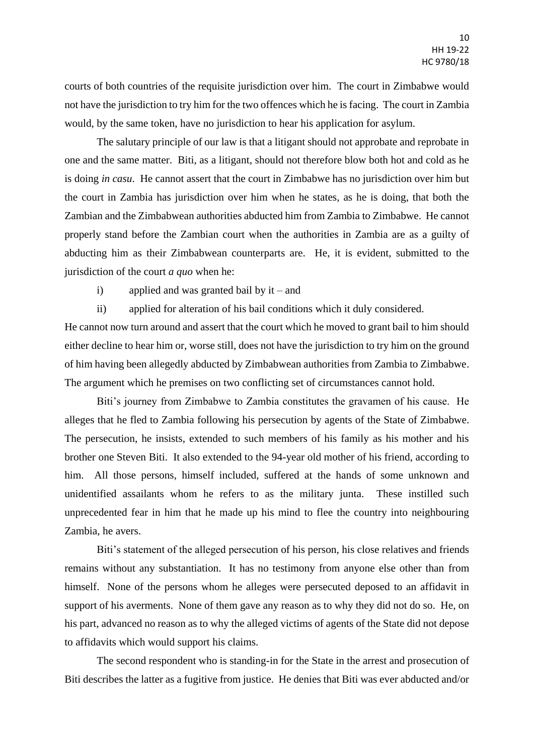courts of both countries of the requisite jurisdiction over him. The court in Zimbabwe would not have the jurisdiction to try him for the two offences which he is facing. The court in Zambia would, by the same token, have no jurisdiction to hear his application for asylum.

The salutary principle of our law is that a litigant should not approbate and reprobate in one and the same matter. Biti, as a litigant, should not therefore blow both hot and cold as he is doing *in casu*. He cannot assert that the court in Zimbabwe has no jurisdiction over him but the court in Zambia has jurisdiction over him when he states, as he is doing, that both the Zambian and the Zimbabwean authorities abducted him from Zambia to Zimbabwe. He cannot properly stand before the Zambian court when the authorities in Zambia are as a guilty of abducting him as their Zimbabwean counterparts are. He, it is evident, submitted to the jurisdiction of the court *a quo* when he:

- i) applied and was granted bail by  $it$  and
- ii) applied for alteration of his bail conditions which it duly considered.

He cannot now turn around and assert that the court which he moved to grant bail to him should either decline to hear him or, worse still, does not have the jurisdiction to try him on the ground of him having been allegedly abducted by Zimbabwean authorities from Zambia to Zimbabwe. The argument which he premises on two conflicting set of circumstances cannot hold.

Biti's journey from Zimbabwe to Zambia constitutes the gravamen of his cause. He alleges that he fled to Zambia following his persecution by agents of the State of Zimbabwe. The persecution, he insists, extended to such members of his family as his mother and his brother one Steven Biti. It also extended to the 94-year old mother of his friend, according to him. All those persons, himself included, suffered at the hands of some unknown and unidentified assailants whom he refers to as the military junta. These instilled such unprecedented fear in him that he made up his mind to flee the country into neighbouring Zambia, he avers.

Biti's statement of the alleged persecution of his person, his close relatives and friends remains without any substantiation. It has no testimony from anyone else other than from himself. None of the persons whom he alleges were persecuted deposed to an affidavit in support of his averments. None of them gave any reason as to why they did not do so. He, on his part, advanced no reason as to why the alleged victims of agents of the State did not depose to affidavits which would support his claims.

The second respondent who is standing-in for the State in the arrest and prosecution of Biti describes the latter as a fugitive from justice. He denies that Biti was ever abducted and/or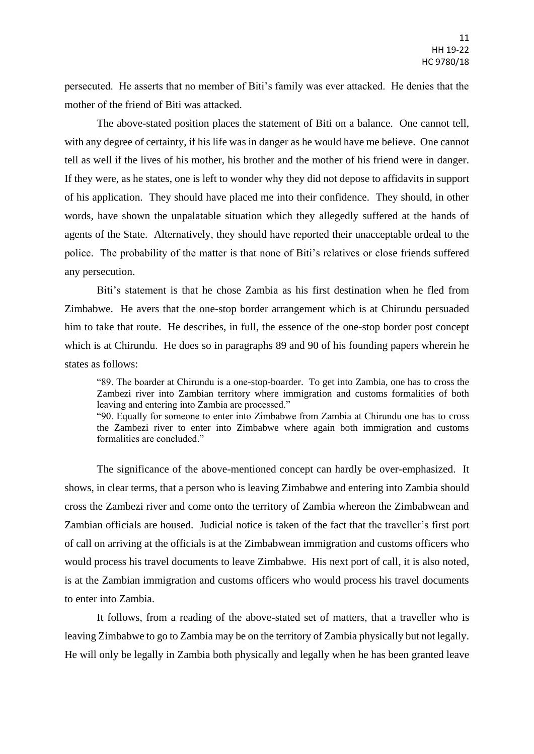persecuted. He asserts that no member of Biti's family was ever attacked. He denies that the mother of the friend of Biti was attacked.

The above-stated position places the statement of Biti on a balance. One cannot tell, with any degree of certainty, if his life was in danger as he would have me believe. One cannot tell as well if the lives of his mother, his brother and the mother of his friend were in danger. If they were, as he states, one is left to wonder why they did not depose to affidavits in support of his application. They should have placed me into their confidence. They should, in other words, have shown the unpalatable situation which they allegedly suffered at the hands of agents of the State. Alternatively, they should have reported their unacceptable ordeal to the police. The probability of the matter is that none of Biti's relatives or close friends suffered any persecution.

Biti's statement is that he chose Zambia as his first destination when he fled from Zimbabwe. He avers that the one-stop border arrangement which is at Chirundu persuaded him to take that route. He describes, in full, the essence of the one-stop border post concept which is at Chirundu. He does so in paragraphs 89 and 90 of his founding papers wherein he states as follows:

"89. The boarder at Chirundu is a one-stop-boarder. To get into Zambia, one has to cross the Zambezi river into Zambian territory where immigration and customs formalities of both leaving and entering into Zambia are processed."

"90. Equally for someone to enter into Zimbabwe from Zambia at Chirundu one has to cross the Zambezi river to enter into Zimbabwe where again both immigration and customs formalities are concluded."

The significance of the above-mentioned concept can hardly be over-emphasized. It shows, in clear terms, that a person who is leaving Zimbabwe and entering into Zambia should cross the Zambezi river and come onto the territory of Zambia whereon the Zimbabwean and Zambian officials are housed. Judicial notice is taken of the fact that the traveller's first port of call on arriving at the officials is at the Zimbabwean immigration and customs officers who would process his travel documents to leave Zimbabwe. His next port of call, it is also noted, is at the Zambian immigration and customs officers who would process his travel documents to enter into Zambia.

It follows, from a reading of the above-stated set of matters, that a traveller who is leaving Zimbabwe to go to Zambia may be on the territory of Zambia physically but not legally. He will only be legally in Zambia both physically and legally when he has been granted leave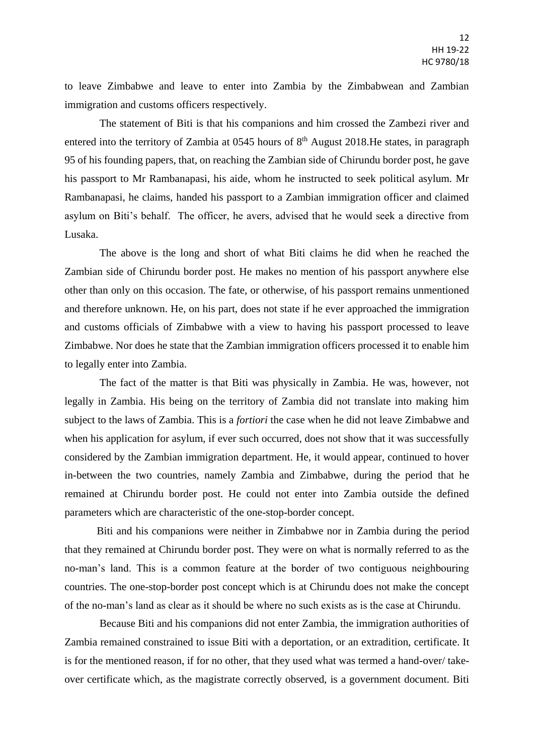to leave Zimbabwe and leave to enter into Zambia by the Zimbabwean and Zambian immigration and customs officers respectively.

The statement of Biti is that his companions and him crossed the Zambezi river and entered into the territory of Zambia at 0545 hours of  $8<sup>th</sup>$  August 2018. He states, in paragraph 95 of his founding papers, that, on reaching the Zambian side of Chirundu border post, he gave his passport to Mr Rambanapasi, his aide, whom he instructed to seek political asylum. Mr Rambanapasi, he claims, handed his passport to a Zambian immigration officer and claimed asylum on Biti's behalf. The officer, he avers, advised that he would seek a directive from Lusaka.

The above is the long and short of what Biti claims he did when he reached the Zambian side of Chirundu border post. He makes no mention of his passport anywhere else other than only on this occasion. The fate, or otherwise, of his passport remains unmentioned and therefore unknown. He, on his part, does not state if he ever approached the immigration and customs officials of Zimbabwe with a view to having his passport processed to leave Zimbabwe. Nor does he state that the Zambian immigration officers processed it to enable him to legally enter into Zambia.

The fact of the matter is that Biti was physically in Zambia. He was, however, not legally in Zambia. His being on the territory of Zambia did not translate into making him subject to the laws of Zambia. This is a *fortiori* the case when he did not leave Zimbabwe and when his application for asylum, if ever such occurred, does not show that it was successfully considered by the Zambian immigration department. He, it would appear, continued to hover in-between the two countries, namely Zambia and Zimbabwe, during the period that he remained at Chirundu border post. He could not enter into Zambia outside the defined parameters which are characteristic of the one-stop-border concept.

Biti and his companions were neither in Zimbabwe nor in Zambia during the period that they remained at Chirundu border post. They were on what is normally referred to as the no-man's land. This is a common feature at the border of two contiguous neighbouring countries. The one-stop-border post concept which is at Chirundu does not make the concept of the no-man's land as clear as it should be where no such exists as is the case at Chirundu.

Because Biti and his companions did not enter Zambia, the immigration authorities of Zambia remained constrained to issue Biti with a deportation, or an extradition, certificate. It is for the mentioned reason, if for no other, that they used what was termed a hand-over/ takeover certificate which, as the magistrate correctly observed, is a government document. Biti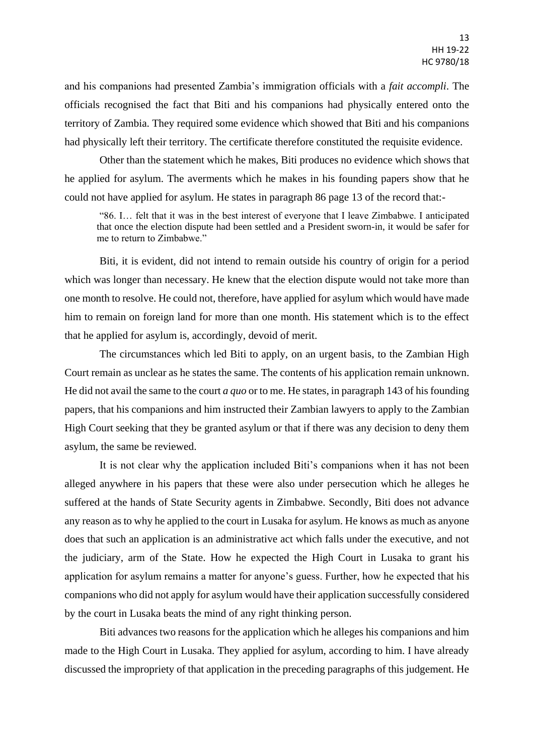and his companions had presented Zambia's immigration officials with a *fait accompli*. The officials recognised the fact that Biti and his companions had physically entered onto the territory of Zambia. They required some evidence which showed that Biti and his companions had physically left their territory. The certificate therefore constituted the requisite evidence.

Other than the statement which he makes, Biti produces no evidence which shows that he applied for asylum. The averments which he makes in his founding papers show that he could not have applied for asylum. He states in paragraph 86 page 13 of the record that:-

"86. I… felt that it was in the best interest of everyone that I leave Zimbabwe. I anticipated that once the election dispute had been settled and a President sworn-in, it would be safer for me to return to Zimbabwe."

Biti, it is evident, did not intend to remain outside his country of origin for a period which was longer than necessary. He knew that the election dispute would not take more than one month to resolve. He could not, therefore, have applied for asylum which would have made him to remain on foreign land for more than one month. His statement which is to the effect that he applied for asylum is, accordingly, devoid of merit.

The circumstances which led Biti to apply, on an urgent basis, to the Zambian High Court remain as unclear as he states the same. The contents of his application remain unknown. He did not avail the same to the court *a quo* or to me. He states, in paragraph 143 of his founding papers, that his companions and him instructed their Zambian lawyers to apply to the Zambian High Court seeking that they be granted asylum or that if there was any decision to deny them asylum, the same be reviewed.

It is not clear why the application included Biti's companions when it has not been alleged anywhere in his papers that these were also under persecution which he alleges he suffered at the hands of State Security agents in Zimbabwe. Secondly, Biti does not advance any reason as to why he applied to the court in Lusaka for asylum. He knows as much as anyone does that such an application is an administrative act which falls under the executive, and not the judiciary, arm of the State. How he expected the High Court in Lusaka to grant his application for asylum remains a matter for anyone's guess. Further, how he expected that his companions who did not apply for asylum would have their application successfully considered by the court in Lusaka beats the mind of any right thinking person.

Biti advances two reasons for the application which he alleges his companions and him made to the High Court in Lusaka. They applied for asylum, according to him. I have already discussed the impropriety of that application in the preceding paragraphs of this judgement. He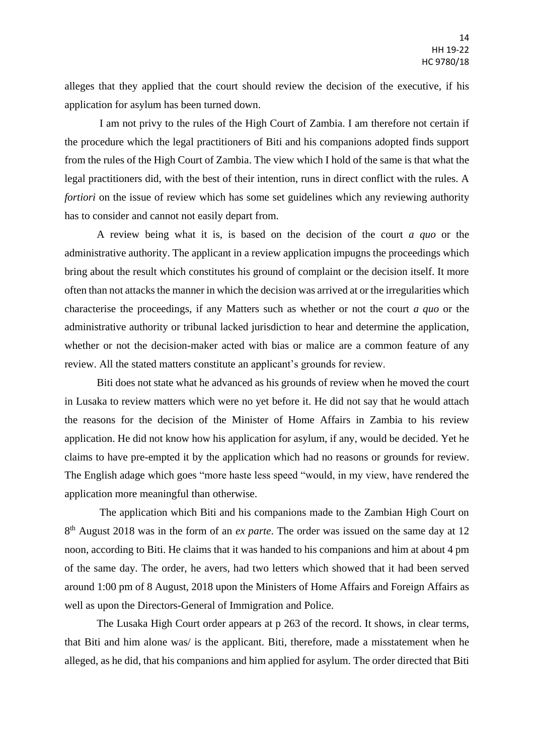alleges that they applied that the court should review the decision of the executive, if his application for asylum has been turned down.

I am not privy to the rules of the High Court of Zambia. I am therefore not certain if the procedure which the legal practitioners of Biti and his companions adopted finds support from the rules of the High Court of Zambia. The view which I hold of the same is that what the legal practitioners did, with the best of their intention, runs in direct conflict with the rules. A *fortiori* on the issue of review which has some set guidelines which any reviewing authority has to consider and cannot not easily depart from.

A review being what it is, is based on the decision of the court *a quo* or the administrative authority. The applicant in a review application impugns the proceedings which bring about the result which constitutes his ground of complaint or the decision itself. It more often than not attacks the manner in which the decision was arrived at or the irregularities which characterise the proceedings, if any Matters such as whether or not the court *a quo* or the administrative authority or tribunal lacked jurisdiction to hear and determine the application, whether or not the decision-maker acted with bias or malice are a common feature of any review. All the stated matters constitute an applicant's grounds for review.

Biti does not state what he advanced as his grounds of review when he moved the court in Lusaka to review matters which were no yet before it. He did not say that he would attach the reasons for the decision of the Minister of Home Affairs in Zambia to his review application. He did not know how his application for asylum, if any, would be decided. Yet he claims to have pre-empted it by the application which had no reasons or grounds for review. The English adage which goes "more haste less speed "would, in my view, have rendered the application more meaningful than otherwise.

The application which Biti and his companions made to the Zambian High Court on 8<sup>th</sup> August 2018 was in the form of an *ex parte*. The order was issued on the same day at 12 noon, according to Biti. He claims that it was handed to his companions and him at about 4 pm of the same day. The order, he avers, had two letters which showed that it had been served around 1:00 pm of 8 August, 2018 upon the Ministers of Home Affairs and Foreign Affairs as well as upon the Directors-General of Immigration and Police.

The Lusaka High Court order appears at p 263 of the record. It shows, in clear terms, that Biti and him alone was/ is the applicant. Biti, therefore, made a misstatement when he alleged, as he did, that his companions and him applied for asylum. The order directed that Biti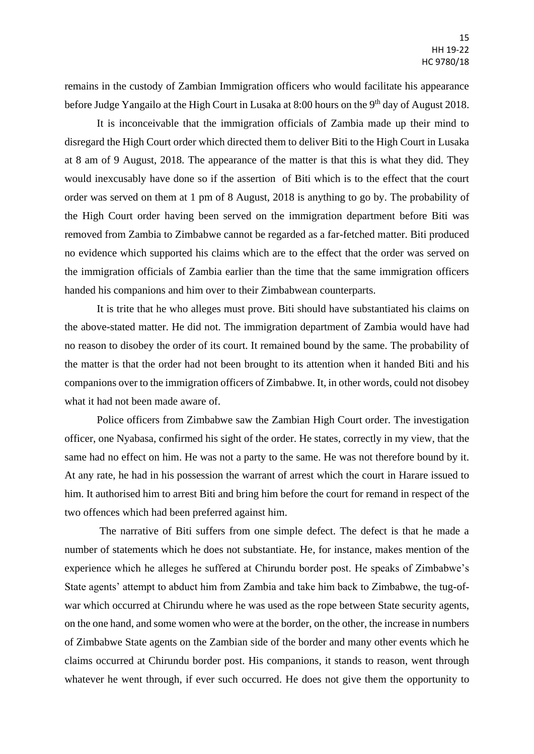remains in the custody of Zambian Immigration officers who would facilitate his appearance before Judge Yangailo at the High Court in Lusaka at 8:00 hours on the 9<sup>th</sup> day of August 2018.

It is inconceivable that the immigration officials of Zambia made up their mind to disregard the High Court order which directed them to deliver Biti to the High Court in Lusaka at 8 am of 9 August, 2018. The appearance of the matter is that this is what they did. They would inexcusably have done so if the assertion of Biti which is to the effect that the court order was served on them at 1 pm of 8 August, 2018 is anything to go by. The probability of the High Court order having been served on the immigration department before Biti was removed from Zambia to Zimbabwe cannot be regarded as a far-fetched matter. Biti produced no evidence which supported his claims which are to the effect that the order was served on the immigration officials of Zambia earlier than the time that the same immigration officers handed his companions and him over to their Zimbabwean counterparts.

It is trite that he who alleges must prove. Biti should have substantiated his claims on the above-stated matter. He did not. The immigration department of Zambia would have had no reason to disobey the order of its court. It remained bound by the same. The probability of the matter is that the order had not been brought to its attention when it handed Biti and his companions over to the immigration officers of Zimbabwe. It, in other words, could not disobey what it had not been made aware of.

Police officers from Zimbabwe saw the Zambian High Court order. The investigation officer, one Nyabasa, confirmed his sight of the order. He states, correctly in my view, that the same had no effect on him. He was not a party to the same. He was not therefore bound by it. At any rate, he had in his possession the warrant of arrest which the court in Harare issued to him. It authorised him to arrest Biti and bring him before the court for remand in respect of the two offences which had been preferred against him.

The narrative of Biti suffers from one simple defect. The defect is that he made a number of statements which he does not substantiate. He, for instance, makes mention of the experience which he alleges he suffered at Chirundu border post. He speaks of Zimbabwe's State agents' attempt to abduct him from Zambia and take him back to Zimbabwe, the tug-ofwar which occurred at Chirundu where he was used as the rope between State security agents, on the one hand, and some women who were at the border, on the other, the increase in numbers of Zimbabwe State agents on the Zambian side of the border and many other events which he claims occurred at Chirundu border post. His companions, it stands to reason, went through whatever he went through, if ever such occurred. He does not give them the opportunity to